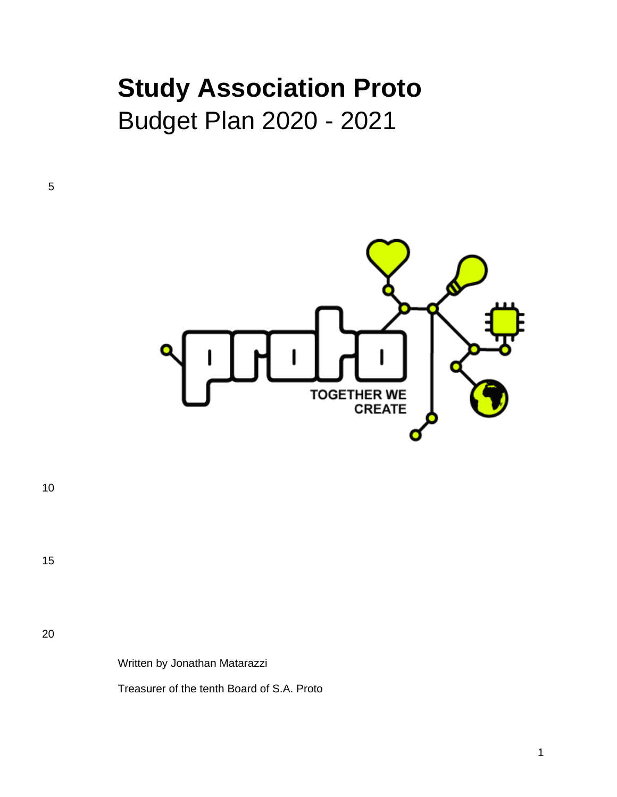# **Study Association Proto** Budget Plan 2020 - 2021

**TOGETHER WE CREATE** 

10

5

15

20

Written by Jonathan Matarazzi

Treasurer of the tenth Board of S.A. Proto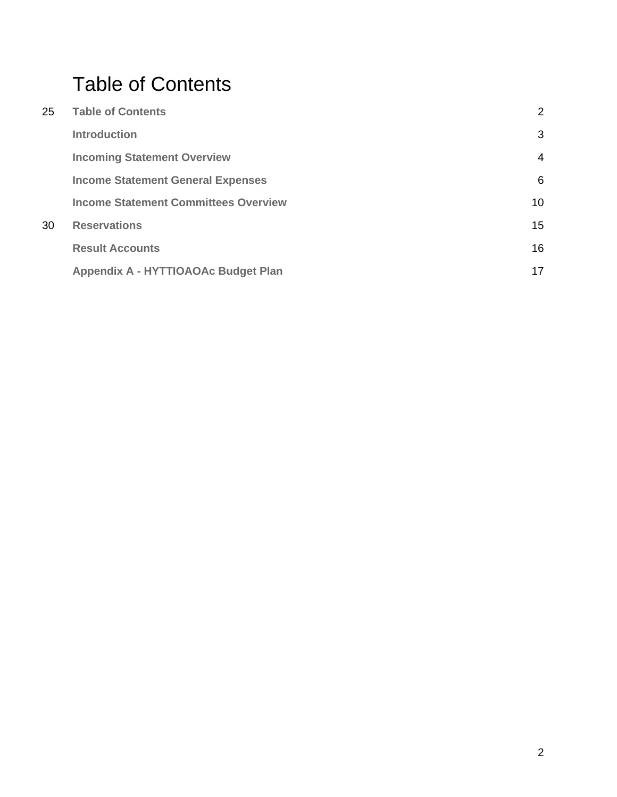## <span id="page-1-0"></span>Table of Contents

| 25 | <b>Table of Contents</b>                    | 2               |
|----|---------------------------------------------|-----------------|
|    | <b>Introduction</b>                         | 3               |
|    | <b>Incoming Statement Overview</b>          | 4               |
|    | <b>Income Statement General Expenses</b>    | 6               |
|    | <b>Income Statement Committees Overview</b> | 10 <sup>°</sup> |
| 30 | <b>Reservations</b>                         | 15              |
|    | <b>Result Accounts</b>                      | 16              |
|    | Appendix A - HYTTIOAOAc Budget Plan         | 17              |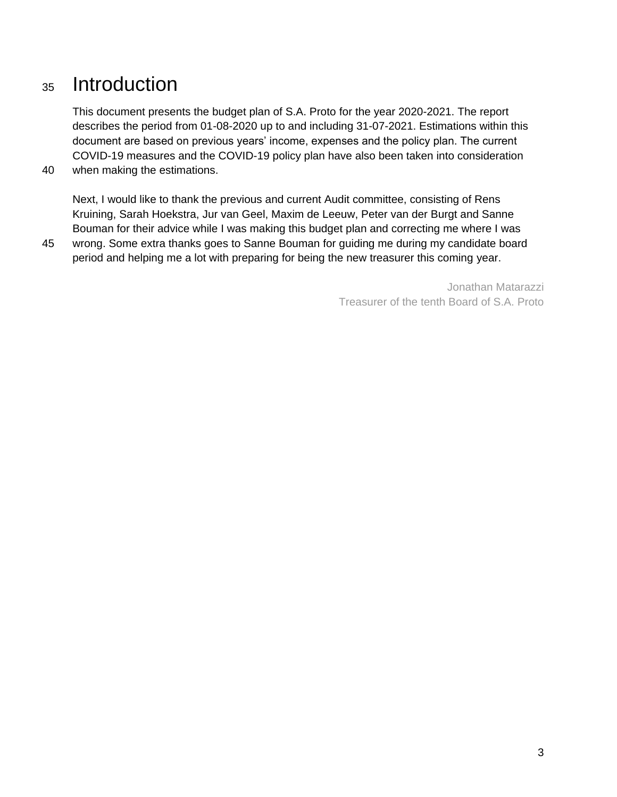## <span id="page-2-0"></span><sup>35</sup> Introduction

This document presents the budget plan of S.A. Proto for the year 2020-2021. The report describes the period from 01-08-2020 up to and including 31-07-2021. Estimations within this document are based on previous years' income, expenses and the policy plan. The current COVID-19 measures and the COVID-19 policy plan have also been taken into consideration 40 when making the estimations.

Next, I would like to thank the previous and current Audit committee, consisting of Rens Kruining, Sarah Hoekstra, Jur van Geel, Maxim de Leeuw, Peter van der Burgt and Sanne Bouman for their advice while I was making this budget plan and correcting me where I was

45 wrong. Some extra thanks goes to Sanne Bouman for guiding me during my candidate board period and helping me a lot with preparing for being the new treasurer this coming year.

> Jonathan Matarazzi Treasurer of the tenth Board of S.A. Proto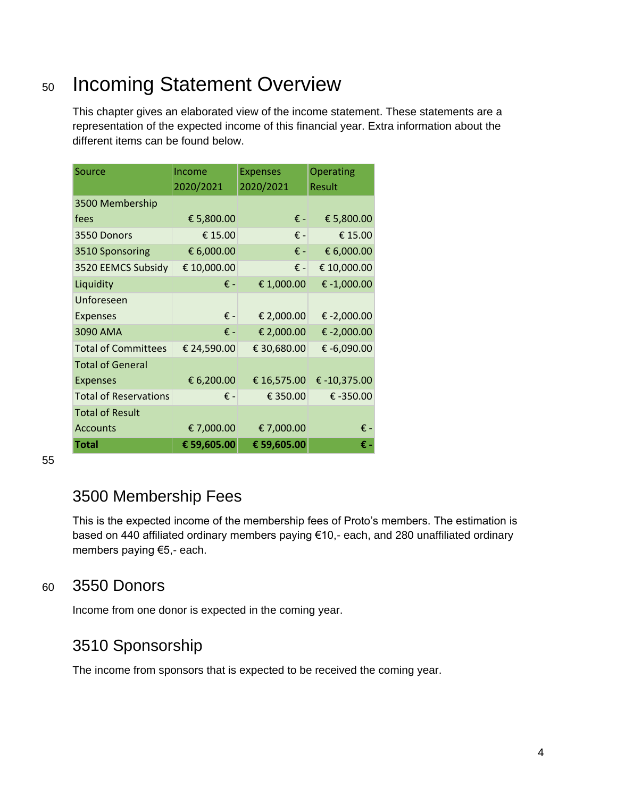## <span id="page-3-0"></span><sup>50</sup> Incoming Statement Overview

This chapter gives an elaborated view of the income statement. These statements are a representation of the expected income of this financial year. Extra information about the different items can be found below.

| <b>Source</b>                | Income<br>2020/2021 | <b>Expenses</b><br>2020/2021 | Operating<br>Result |
|------------------------------|---------------------|------------------------------|---------------------|
| 3500 Membership              |                     |                              |                     |
| fees                         | € 5,800.00          | € -                          | € 5,800.00          |
| 3550 Donors                  | € 15.00             | € -                          | € 15.00             |
| 3510 Sponsoring              | € 6,000.00          | € -                          | € 6,000.00          |
| 3520 EEMCS Subsidy           | € 10,000.00         | € -                          | € 10,000.00         |
| Liquidity                    | € -                 | € 1,000.00                   | € -1,000.00         |
| Unforeseen                   |                     |                              |                     |
| <b>Expenses</b>              | € -                 | € 2,000.00                   | € -2,000.00         |
| 3090 AMA                     | $f =$               | € 2,000.00                   | € -2,000.00         |
| <b>Total of Committees</b>   | € 24,590.00         | € 30,680.00                  | € -6,090.00         |
| <b>Total of General</b>      |                     |                              |                     |
| <b>Expenses</b>              | € 6,200.00          | € 16,575.00                  | €-10,375.00         |
| <b>Total of Reservations</b> | € -                 | € 350.00                     | € $-350.00$         |
| <b>Total of Result</b>       |                     |                              |                     |
| <b>Accounts</b>              | € 7,000.00          | € 7,000.00                   | € -                 |
| Total                        | € 59,605.00         | € 59,605.00                  | € -                 |

55

## 3500 Membership Fees

This is the expected income of the membership fees of Proto's members. The estimation is based on 440 affiliated ordinary members paying €10,- each, and 280 unaffiliated ordinary members paying €5,- each.

#### <sup>60</sup> 3550 Donors

Income from one donor is expected in the coming year.

#### 3510 Sponsorship

The income from sponsors that is expected to be received the coming year.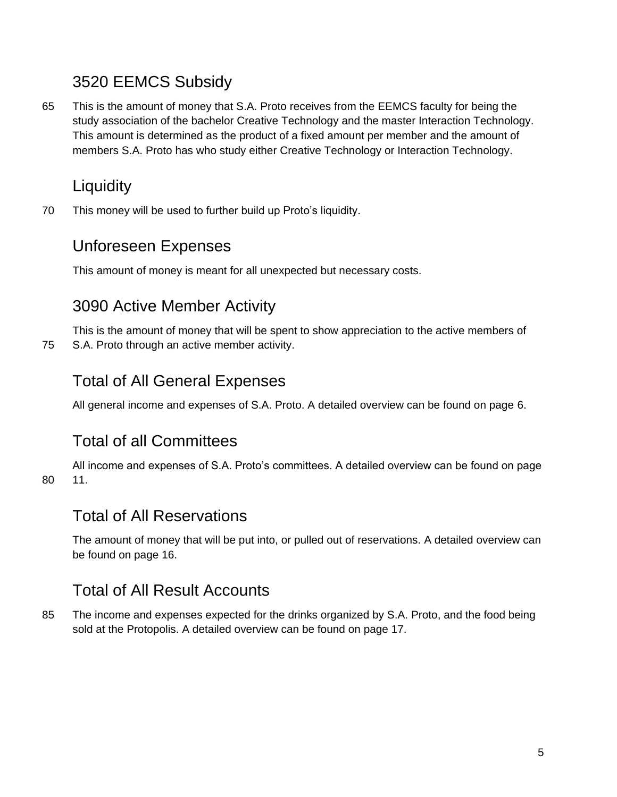## 3520 EEMCS Subsidy

65 This is the amount of money that S.A. Proto receives from the EEMCS faculty for being the study association of the bachelor Creative Technology and the master Interaction Technology. This amount is determined as the product of a fixed amount per member and the amount of members S.A. Proto has who study either Creative Technology or Interaction Technology.

## **Liquidity**

70 This money will be used to further build up Proto's liquidity.

#### Unforeseen Expenses

This amount of money is meant for all unexpected but necessary costs.

#### 3090 Active Member Activity

This is the amount of money that will be spent to show appreciation to the active members of 75 S.A. Proto through an active member activity.

### Total of All General Expenses

All general income and expenses of S.A. Proto. A detailed overview can be found on page 6.

## Total of all Committees

All income and expenses of S.A. Proto's committees. A detailed overview can be found on page 80 11.

#### Total of All Reservations

The amount of money that will be put into, or pulled out of reservations. A detailed overview can be found on page 16.

#### Total of All Result Accounts

85 The income and expenses expected for the drinks organized by S.A. Proto, and the food being sold at the Protopolis. A detailed overview can be found on page 17.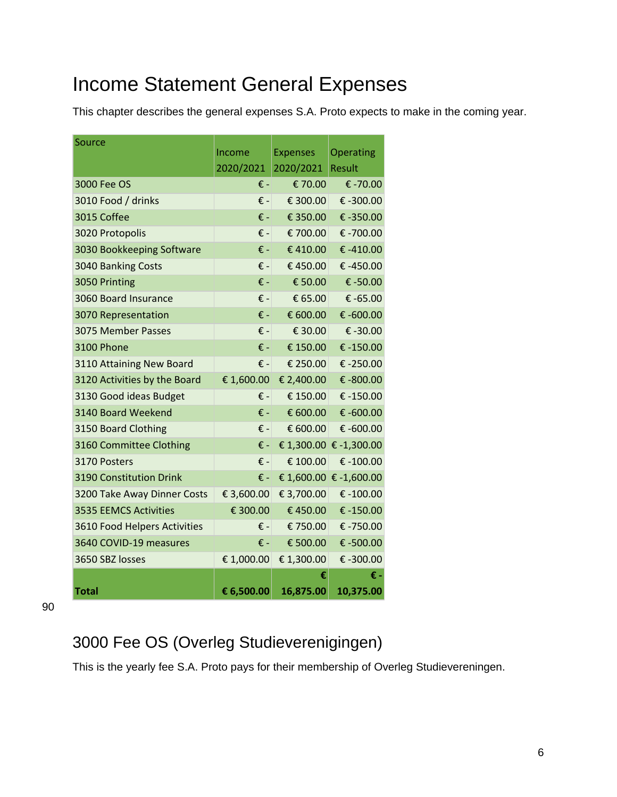## <span id="page-5-0"></span>Income Statement General Expenses

This chapter describes the general expenses S.A. Proto expects to make in the coming year.

| Source                              |                 |                   |                        |
|-------------------------------------|-----------------|-------------------|------------------------|
|                                     | Income          | <b>Expenses</b>   | Operating              |
|                                     | 2020/2021       | 2020/2021         | Result                 |
| 3000 Fee OS                         | € -             | €70.00            | € -70.00               |
| 3010 Food / drinks                  | € -             | € 300.00          | € -300.00              |
| 3015 Coffee                         | € -             | € 350.00          | € -350.00              |
| 3020 Protopolis                     | $\epsilon$ -    | € 700.00          | € -700.00              |
| 3030 Bookkeeping Software           | € -             | €410.00           | €-410.00               |
| 3040 Banking Costs                  | € -             | €450.00           | € -450.00              |
| 3050 Printing                       | $\epsilon$ -    | € 50.00           | € -50.00               |
| 3060 Board Insurance                | € -             | € 65.00           | € -65.00               |
| 3070 Representation                 | € -             | € 600.00          | € $-600.00$            |
| 3075 Member Passes                  | € -             | € 30.00           | € -30.00               |
| <b>3100 Phone</b>                   | $\varepsilon$ - | € 150.00          | €-150.00               |
| 3110 Attaining New Board            | $\epsilon$ -    | € 250.00          | € $-250.00$            |
| 3120 Activities by the Board        | € 1,600.00      | € 2,400.00        | € -800.00              |
| 3130 Good ideas Budget              | € -             | € 150.00          | €-150.00               |
| 3140 Board Weekend                  | € -             | € 600.00          | € -600.00              |
| 3150 Board Clothing                 | $\epsilon$ -    | € 600.00          | € -600.00              |
| 3160 Committee Clothing             | € -             |                   | € 1,300.00 € -1,300.00 |
| 3170 Posters                        | € -             | € 100.00          | € -100.00              |
| <b>3190 Constitution Drink</b>      | € -             |                   | € 1,600.00 € -1,600.00 |
| 3200 Take Away Dinner Costs         | € 3,600.00      | € 3,700.00        | € $-100.00$            |
| <b>3535 EEMCS Activities</b>        | € 300.00        | €450.00           | € $-150.00$            |
| <b>3610 Food Helpers Activities</b> | € - I           | €750.00           | € -750.00              |
| 3640 COVID-19 measures              | € -             | $\epsilon$ 500.00 | € -500.00              |
| 3650 SBZ losses                     | € 1,000.00      | € 1,300.00        | € -300.00              |
|                                     |                 | €                 | € -                    |
| Total                               | € 6,500.00      | 16,875.00         | 10,375.00              |

90

## 3000 Fee OS (Overleg Studieverenigingen)

This is the yearly fee S.A. Proto pays for their membership of Overleg Studievereningen.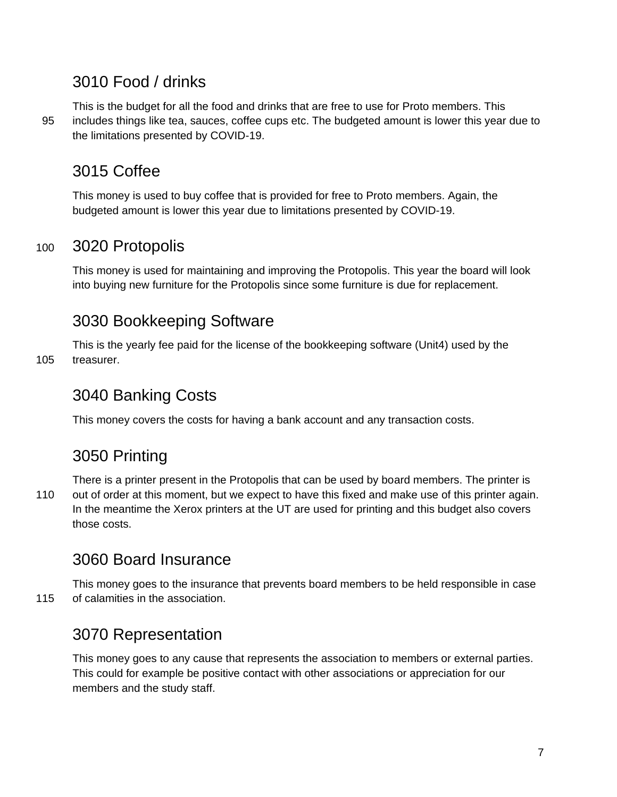### 3010 Food / drinks

This is the budget for all the food and drinks that are free to use for Proto members. This 95 includes things like tea, sauces, coffee cups etc. The budgeted amount is lower this year due to the limitations presented by COVID-19.

## 3015 Coffee

This money is used to buy coffee that is provided for free to Proto members. Again, the budgeted amount is lower this year due to limitations presented by COVID-19.

#### <sup>100</sup> 3020 Protopolis

This money is used for maintaining and improving the Protopolis. This year the board will look into buying new furniture for the Protopolis since some furniture is due for replacement.

## 3030 Bookkeeping Software

This is the yearly fee paid for the license of the bookkeeping software (Unit4) used by the 105 treasurer.

## 3040 Banking Costs

This money covers the costs for having a bank account and any transaction costs.

## 3050 Printing

There is a printer present in the Protopolis that can be used by board members. The printer is 110 out of order at this moment, but we expect to have this fixed and make use of this printer again. In the meantime the Xerox printers at the UT are used for printing and this budget also covers those costs.

## 3060 Board Insurance

This money goes to the insurance that prevents board members to be held responsible in case 115 of calamities in the association.

## 3070 Representation

This money goes to any cause that represents the association to members or external parties. This could for example be positive contact with other associations or appreciation for our members and the study staff.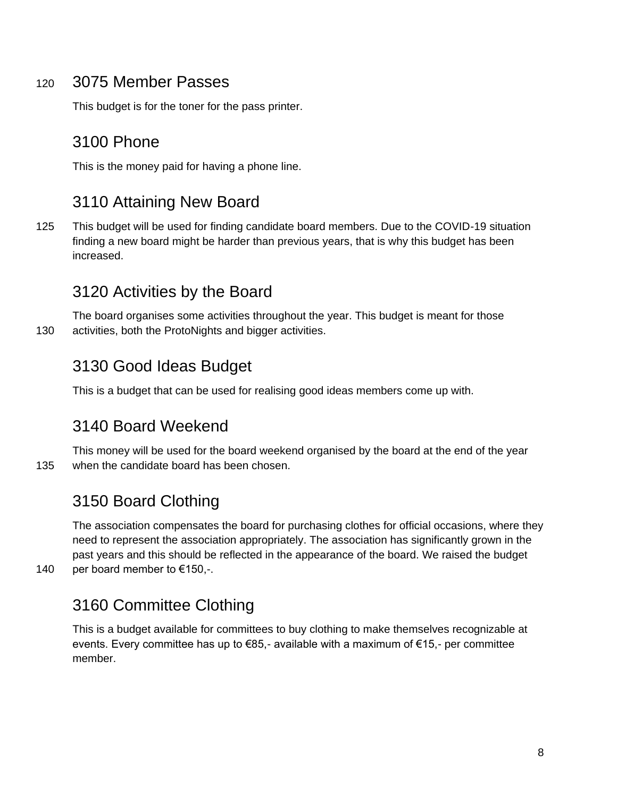#### <sup>120</sup> 3075 Member Passes

This budget is for the toner for the pass printer.

#### 3100 Phone

This is the money paid for having a phone line.

## 3110 Attaining New Board

125 This budget will be used for finding candidate board members. Due to the COVID-19 situation finding a new board might be harder than previous years, that is why this budget has been increased.

#### 3120 Activities by the Board

The board organises some activities throughout the year. This budget is meant for those 130 activities, both the ProtoNights and bigger activities.

### 3130 Good Ideas Budget

This is a budget that can be used for realising good ideas members come up with.

#### 3140 Board Weekend

This money will be used for the board weekend organised by the board at the end of the year 135 when the candidate board has been chosen.

#### 3150 Board Clothing

The association compensates the board for purchasing clothes for official occasions, where they need to represent the association appropriately. The association has significantly grown in the past years and this should be reflected in the appearance of the board. We raised the budget 140 per board member to €150,-.

## 3160 Committee Clothing

This is a budget available for committees to buy clothing to make themselves recognizable at events. Every committee has up to €85,- available with a maximum of €15,- per committee member.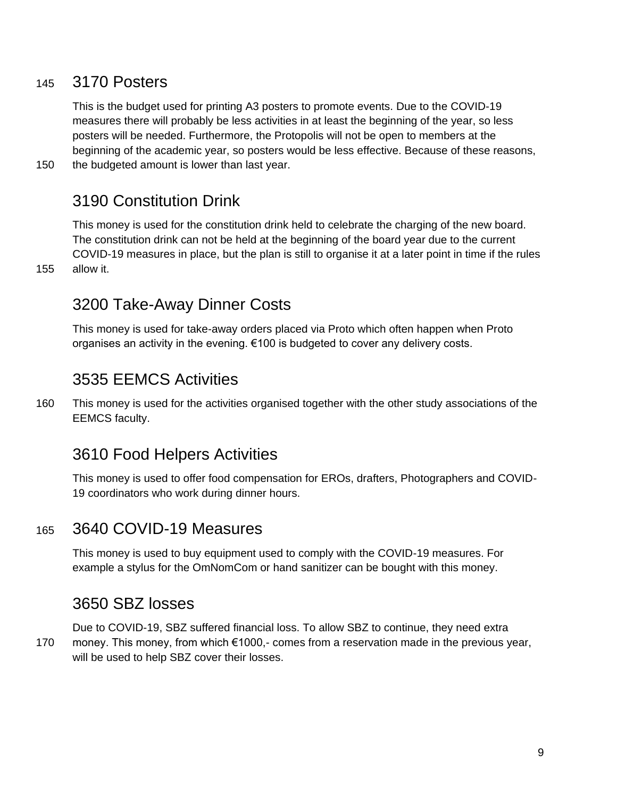#### <sup>145</sup> 3170 Posters

This is the budget used for printing A3 posters to promote events. Due to the COVID-19 measures there will probably be less activities in at least the beginning of the year, so less posters will be needed. Furthermore, the Protopolis will not be open to members at the beginning of the academic year, so posters would be less effective. Because of these reasons,

150 the budgeted amount is lower than last year.

#### 3190 Constitution Drink

This money is used for the constitution drink held to celebrate the charging of the new board. The constitution drink can not be held at the beginning of the board year due to the current COVID-19 measures in place, but the plan is still to organise it at a later point in time if the rules 155 allow it.

#### 3200 Take-Away Dinner Costs

This money is used for take-away orders placed via Proto which often happen when Proto organises an activity in the evening. €100 is budgeted to cover any delivery costs.

#### 3535 EEMCS Activities

160 This money is used for the activities organised together with the other study associations of the EEMCS faculty.

#### 3610 Food Helpers Activities

This money is used to offer food compensation for EROs, drafters, Photographers and COVID-19 coordinators who work during dinner hours.

#### <sup>165</sup> 3640 COVID-19 Measures

This money is used to buy equipment used to comply with the COVID-19 measures. For example a stylus for the OmNomCom or hand sanitizer can be bought with this money.

#### 3650 SBZ losses

Due to COVID-19, SBZ suffered financial loss. To allow SBZ to continue, they need extra 170 money. This money, from which €1000,- comes from a reservation made in the previous year, will be used to help SBZ cover their losses.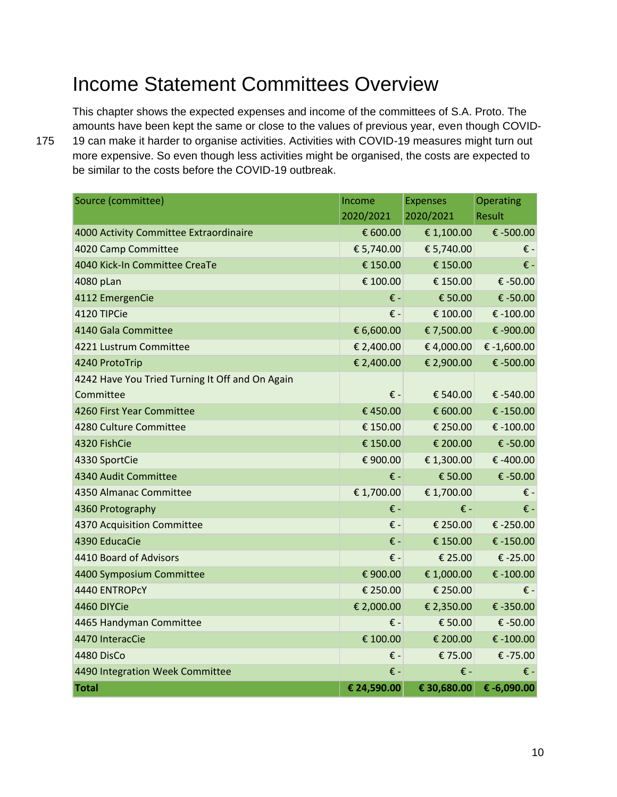## <span id="page-9-0"></span>Income Statement Committees Overview

This chapter shows the expected expenses and income of the committees of S.A. Proto. The amounts have been kept the same or close to the values of previous year, even though COVID-175 19 can make it harder to organise activities. Activities with COVID-19 measures might turn out more expensive. So even though less activities might be organised, the costs are expected to be similar to the costs before the COVID-19 outbreak.

| Source (committee)                              | Income                    | <b>Expenses</b> | Operating                 |
|-------------------------------------------------|---------------------------|-----------------|---------------------------|
|                                                 | 2020/2021                 | 2020/2021       | Result                    |
| 4000 Activity Committee Extraordinaire          | € 600.00                  | € 1,100.00      | € -500.00                 |
| 4020 Camp Committee                             | € 5,740.00                | € 5,740.00      | $\boldsymbol{\epsilon}$ - |
| 4040 Kick-In Committee CreaTe                   | € 150.00                  | € 150.00        | $\epsilon$ -              |
| 4080 pLan                                       | € 100.00                  | € 150.00        | € -50.00                  |
| 4112 EmergenCie                                 | € -                       | € 50.00         | € -50.00                  |
| 4120 TIPCie                                     | € -                       | € 100.00        | € -100.00                 |
| 4140 Gala Committee                             | € 6,600.00                | € 7,500.00      | € -900.00                 |
| 4221 Lustrum Committee                          | € 2,400.00                | € 4,000.00      | € $-1,600.00$             |
| 4240 ProtoTrip                                  | € 2,400.00                | € 2,900.00      | € -500.00                 |
| 4242 Have You Tried Turning It Off and On Again |                           |                 |                           |
| Committee                                       | $\varepsilon$ -           | € 540.00        | € -540.00                 |
| 4260 First Year Committee                       | €450.00                   | € 600.00        | € $-150.00$               |
| 4280 Culture Committee                          | € 150.00                  | € 250.00        | € $-100.00$               |
| 4320 FishCie                                    | € 150.00                  | € 200.00        | € -50.00                  |
| 4330 SportCie                                   | € 900.00                  | € 1,300.00      | € -400.00                 |
| 4340 Audit Committee                            | € -                       | € 50.00         | € -50.00                  |
| 4350 Almanac Committee                          | € 1,700.00                | € 1,700.00      | $\epsilon$ -              |
| 4360 Protography                                | € -                       | € -             | € -                       |
| 4370 Acquisition Committee                      | $\epsilon$ -              | € 250.00        | € -250.00                 |
| 4390 EducaCie                                   | € -                       | € 150.00        | € -150.00                 |
| 4410 Board of Advisors                          | $\epsilon$ -              | € 25.00         | € -25.00                  |
| 4400 Symposium Committee                        | € 900.00                  | € 1,000.00      | € $-100.00$               |
| 4440 ENTROPCY                                   | € 250.00                  | € 250.00        | € -                       |
| 4460 DIYCie                                     | € 2,000.00                | € 2,350.00      | € -350.00                 |
| 4465 Handyman Committee                         | $\boldsymbol{\epsilon}$ - | € 50.00         | € -50.00                  |
| 4470 InteracCie                                 | € 100.00                  | € 200.00        | € $-100.00$               |
| <b>4480 DisCo</b>                               | € -                       | € 75.00         | € -75.00                  |
| 4490 Integration Week Committee                 | € -                       | € -             | € -                       |
| <b>Total</b>                                    | € 24,590.00               | € 30,680.00     | € -6,090.00               |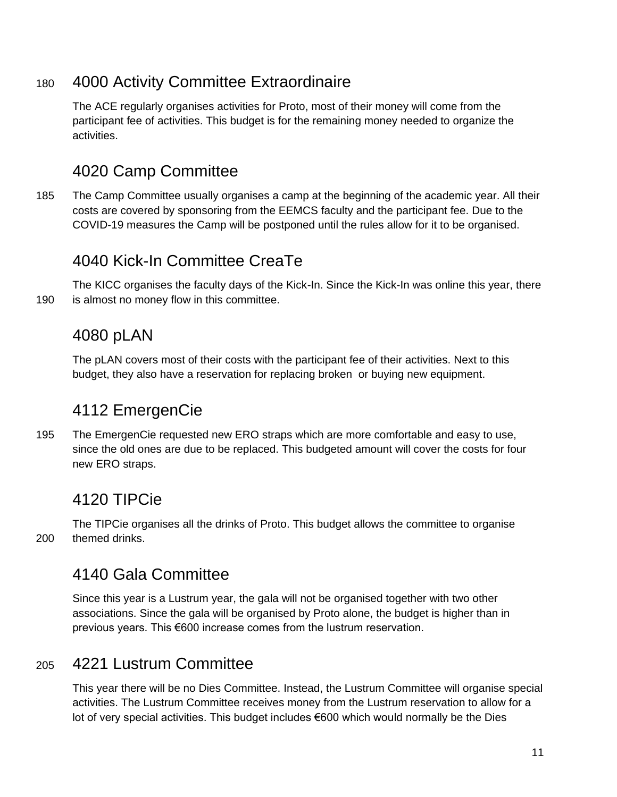#### <sup>180</sup> 4000 Activity Committee Extraordinaire

The ACE regularly organises activities for Proto, most of their money will come from the participant fee of activities. This budget is for the remaining money needed to organize the activities.

## 4020 Camp Committee

185 The Camp Committee usually organises a camp at the beginning of the academic year. All their costs are covered by sponsoring from the EEMCS faculty and the participant fee. Due to the COVID-19 measures the Camp will be postponed until the rules allow for it to be organised.

## 4040 Kick-In Committee CreaTe

The KICC organises the faculty days of the Kick-In. Since the Kick-In was online this year, there 190 is almost no money flow in this committee.

### 4080 pLAN

The pLAN covers most of their costs with the participant fee of their activities. Next to this budget, they also have a reservation for replacing broken or buying new equipment.

## 4112 EmergenCie

195 The EmergenCie requested new ERO straps which are more comfortable and easy to use, since the old ones are due to be replaced. This budgeted amount will cover the costs for four new ERO straps.

## 4120 TIPCie

The TIPCie organises all the drinks of Proto. This budget allows the committee to organise 200 themed drinks.

#### 4140 Gala Committee

Since this year is a Lustrum year, the gala will not be organised together with two other associations. Since the gala will be organised by Proto alone, the budget is higher than in previous years. This €600 increase comes from the lustrum reservation.

#### <sup>205</sup> 4221 Lustrum Committee

This year there will be no Dies Committee. Instead, the Lustrum Committee will organise special activities. The Lustrum Committee receives money from the Lustrum reservation to allow for a lot of very special activities. This budget includes €600 which would normally be the Dies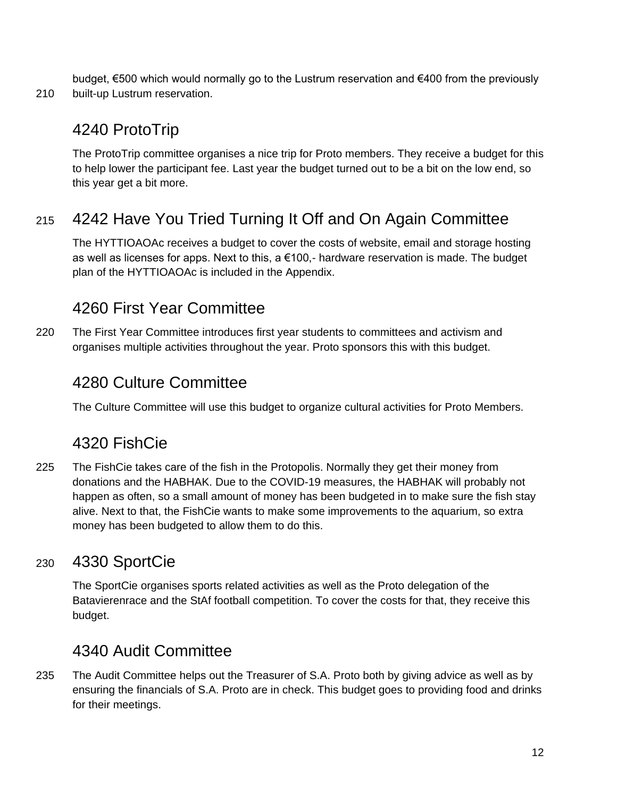budget, €500 which would normally go to the Lustrum reservation and €400 from the previously 210 built-up Lustrum reservation.

## 4240 ProtoTrip

The ProtoTrip committee organises a nice trip for Proto members. They receive a budget for this to help lower the participant fee. Last year the budget turned out to be a bit on the low end, so this year get a bit more.

## <sup>215</sup> 4242 Have You Tried Turning It Off and On Again Committee

The HYTTIOAOAc receives a budget to cover the costs of website, email and storage hosting as well as licenses for apps. Next to this, a  $\epsilon$ 100,- hardware reservation is made. The budget plan of the HYTTIOAOAc is included in the Appendix.

## 4260 First Year Committee

220 The First Year Committee introduces first year students to committees and activism and organises multiple activities throughout the year. Proto sponsors this with this budget.

## 4280 Culture Committee

The Culture Committee will use this budget to organize cultural activities for Proto Members.

## 4320 FishCie

225 The FishCie takes care of the fish in the Protopolis. Normally they get their money from donations and the HABHAK. Due to the COVID-19 measures, the HABHAK will probably not happen as often, so a small amount of money has been budgeted in to make sure the fish stay alive. Next to that, the FishCie wants to make some improvements to the aquarium, so extra money has been budgeted to allow them to do this.

## <sup>230</sup> 4330 SportCie

The SportCie organises sports related activities as well as the Proto delegation of the Batavierenrace and the StAf football competition. To cover the costs for that, they receive this budget.

## 4340 Audit Committee

235 The Audit Committee helps out the Treasurer of S.A. Proto both by giving advice as well as by ensuring the financials of S.A. Proto are in check. This budget goes to providing food and drinks for their meetings.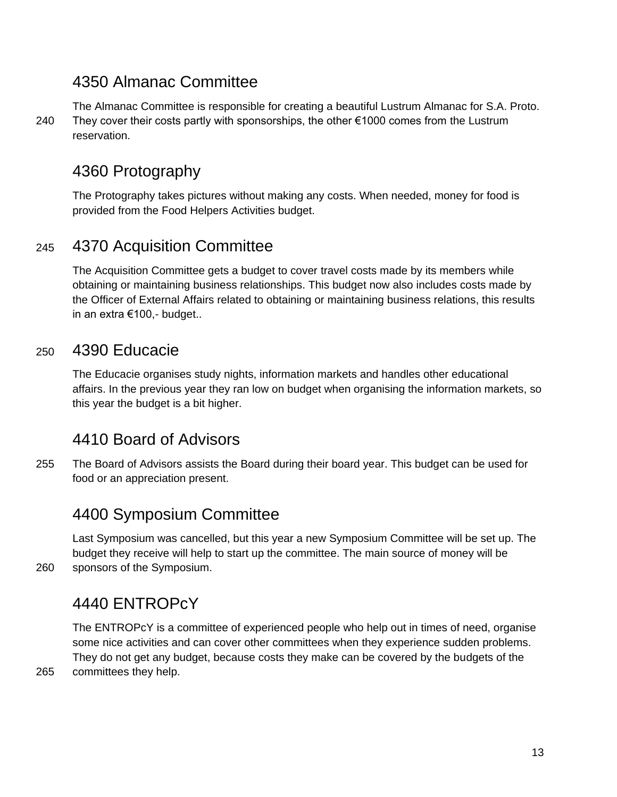#### 4350 Almanac Committee

The Almanac Committee is responsible for creating a beautiful Lustrum Almanac for S.A. Proto. 240 They cover their costs partly with sponsorships, the other €1000 comes from the Lustrum reservation.

## 4360 Protography

The Protography takes pictures without making any costs. When needed, money for food is provided from the Food Helpers Activities budget.

#### <sup>245</sup> 4370 Acquisition Committee

The Acquisition Committee gets a budget to cover travel costs made by its members while obtaining or maintaining business relationships. This budget now also includes costs made by the Officer of External Affairs related to obtaining or maintaining business relations, this results in an extra €100,- budget..

#### <sup>250</sup> 4390 Educacie

The Educacie organises study nights, information markets and handles other educational affairs. In the previous year they ran low on budget when organising the information markets, so this year the budget is a bit higher.

#### 4410 Board of Advisors

255 The Board of Advisors assists the Board during their board year. This budget can be used for food or an appreciation present.

#### 4400 Symposium Committee

Last Symposium was cancelled, but this year a new Symposium Committee will be set up. The budget they receive will help to start up the committee. The main source of money will be 260 sponsors of the Symposium.

## 4440 ENTROPcY

The ENTROPcY is a committee of experienced people who help out in times of need, organise some nice activities and can cover other committees when they experience sudden problems. They do not get any budget, because costs they make can be covered by the budgets of the 265 committees they help.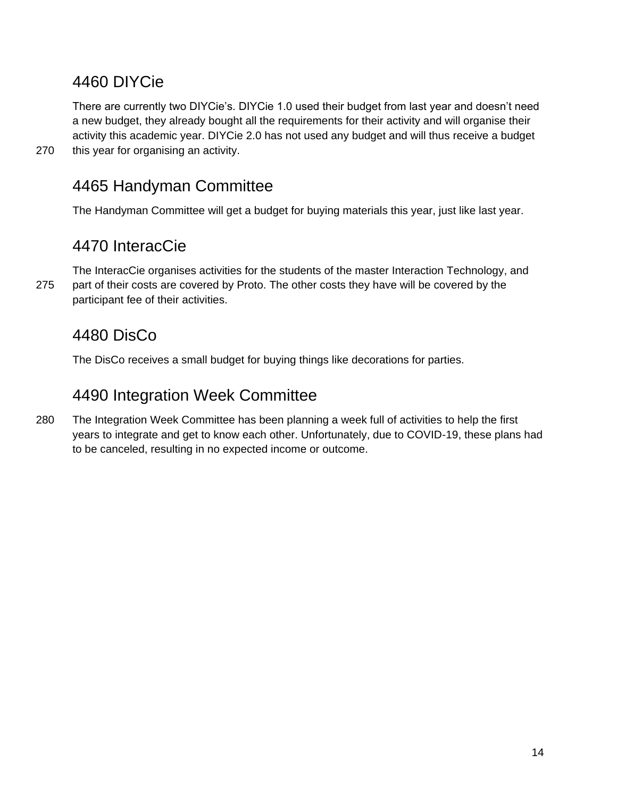## 4460 DIYCie

There are currently two DIYCie's. DIYCie 1.0 used their budget from last year and doesn't need a new budget, they already bought all the requirements for their activity and will organise their activity this academic year. DIYCie 2.0 has not used any budget and will thus receive a budget 270 this year for organising an activity.

## 4465 Handyman Committee

The Handyman Committee will get a budget for buying materials this year, just like last year.

## 4470 InteracCie

The InteracCie organises activities for the students of the master Interaction Technology, and 275 part of their costs are covered by Proto. The other costs they have will be covered by the participant fee of their activities.

## 4480 DisCo

The DisCo receives a small budget for buying things like decorations for parties.

## 4490 Integration Week Committee

280 The Integration Week Committee has been planning a week full of activities to help the first years to integrate and get to know each other. Unfortunately, due to COVID-19, these plans had to be canceled, resulting in no expected income or outcome.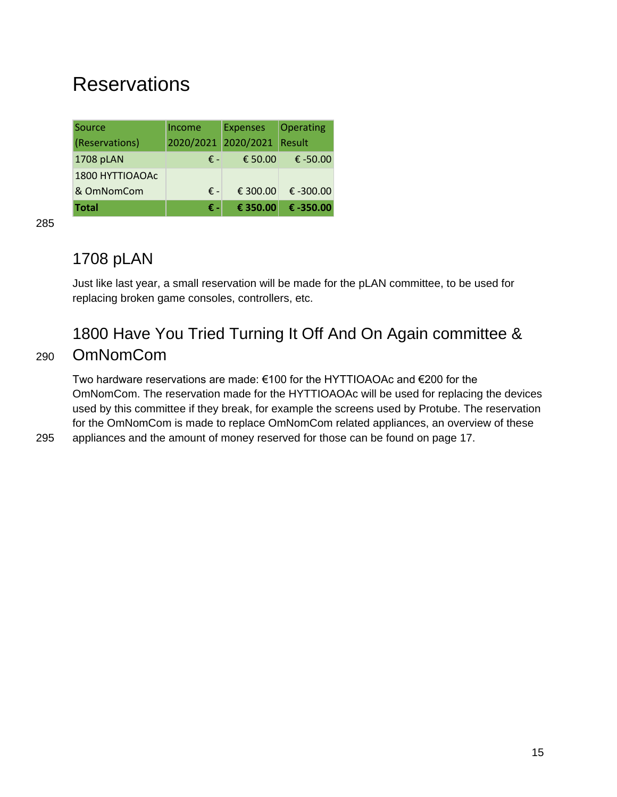## <span id="page-14-0"></span>**Reservations**

| Source          | Income    | <b>Expenses</b> | Operating     |
|-----------------|-----------|-----------------|---------------|
| (Reservations)  | 2020/2021 | 2020/2021       | <b>Result</b> |
| 1708 pLAN       | € –       | € 50.00         | € $-50.00$    |
| 1800 HYTTIOAOAc |           |                 |               |
| & OmNomCom      | € -       | € 300.00        | € $-300.00$   |
| <b>Total</b>    | € -       | € 350.00        | € -350.00     |

285

## 1708 pLAN

Just like last year, a small reservation will be made for the pLAN committee, to be used for replacing broken game consoles, controllers, etc.

## 1800 Have You Tried Turning It Off And On Again committee & <sup>290</sup> OmNomCom

Two hardware reservations are made: €100 for the HYTTIOAOAc and €200 for the OmNomCom. The reservation made for the HYTTIOAOAc will be used for replacing the devices used by this committee if they break, for example the screens used by Protube. The reservation for the OmNomCom is made to replace OmNomCom related appliances, an overview of these 295 appliances and the amount of money reserved for those can be found on page 17.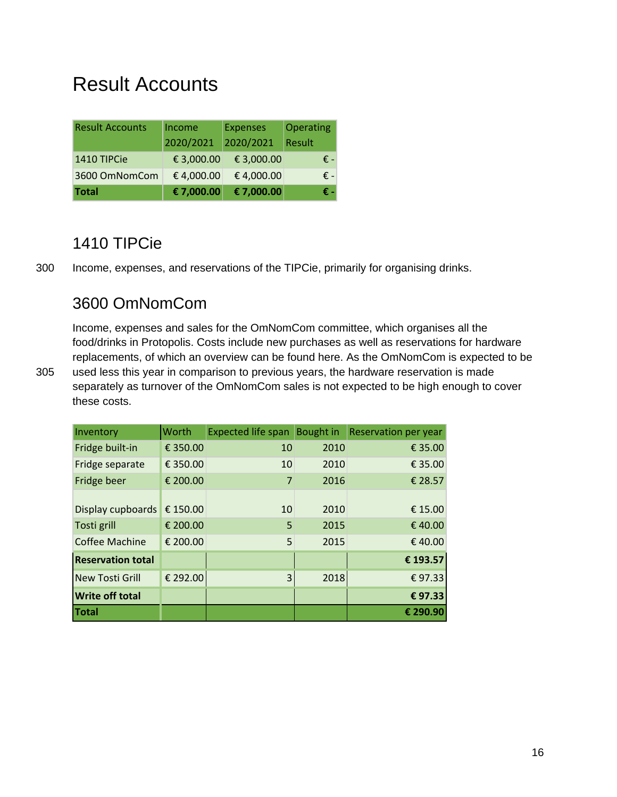## <span id="page-15-0"></span>Result Accounts

| <b>Result Accounts</b> | Income     | <b>Expenses</b> | Operating |  |
|------------------------|------------|-----------------|-----------|--|
|                        | 2020/2021  | 2020/2021       | Result    |  |
| 1410 TIPCie            | € 3,000.00 | € 3,000.00      | € -       |  |
| 3600 OmNomCom          | €4,000.00  | €4,000.00       | € -       |  |
| <b>Total</b>           | € 7,000.00 | € 7,000.00      | € -       |  |

### 1410 TIPCie

300 Income, expenses, and reservations of the TIPCie, primarily for organising drinks.

## 3600 OmNomCom

Income, expenses and sales for the OmNomCom committee, which organises all the food/drinks in Protopolis. Costs include new purchases as well as reservations for hardware replacements, of which an overview can be found here. As the OmNomCom is expected to be 305 used less this year in comparison to previous years, the hardware reservation is made separately as turnover of the OmNomCom sales is not expected to be high enough to cover these costs.

| Inventory                | Worth    | Expected life span | Bought in | <b>Reservation per year</b> |
|--------------------------|----------|--------------------|-----------|-----------------------------|
| Fridge built-in          | € 350.00 | 10                 | 2010      | € 35.00                     |
| Fridge separate          | € 350.00 | 10                 | 2010      | € 35.00                     |
| Fridge beer              | € 200.00 | 7                  | 2016      | € 28.57                     |
| Display cupboards        | € 150.00 | 10                 | 2010      | € 15.00                     |
| Tosti grill              | € 200.00 | 5                  | 2015      | €40.00                      |
| <b>Coffee Machine</b>    | € 200.00 | 5                  | 2015      | €40.00                      |
| <b>Reservation total</b> |          |                    |           | € 193.57                    |
| <b>New Tosti Grill</b>   | € 292.00 | 3                  | 2018      | €97.33                      |
| <b>Write off total</b>   |          |                    |           | €97.33                      |
| Total                    |          |                    |           | € 290.90                    |